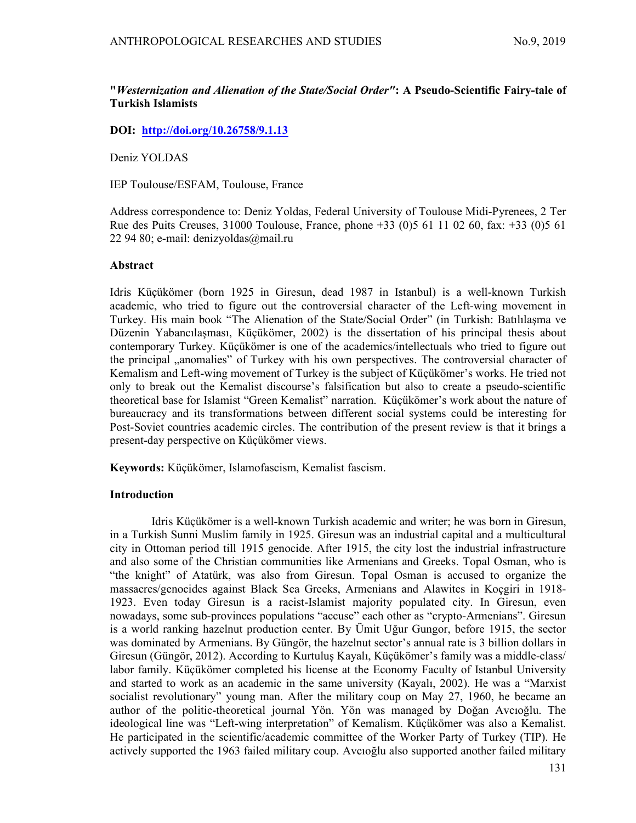# "Westernization and Alienation of the State/Social Order": A Pseudo-Scientific Fairy-tale of Turkish Islamists

# DOI: http://doi.org/10.26758/9.1.13

Deniz YOLDAS

IEP Toulouse/ESFAM, Toulouse, France

Address correspondence to: Deniz Yoldas, Federal University of Toulouse Midi-Pyrenees, 2 Ter Rue des Puits Creuses, 31000 Toulouse, France, phone +33 (0)5 61 11 02 60, fax: +33 (0)5 61 22 94 80; e-mail: denizyoldas@mail.ru

### Abstract

Idris Küçükömer (born 1925 in Giresun, dead 1987 in Istanbul) is a well-known Turkish academic, who tried to figure out the controversial character of the Left-wing movement in Turkey. His main book "The Alienation of the State/Social Order" (in Turkish: Batılılaşma ve Düzenin Yabancılaşması, Küçükömer, 2002) is the dissertation of his principal thesis about contemporary Turkey. Küçükömer is one of the academics/intellectuals who tried to figure out the principal "anomalies" of Turkey with his own perspectives. The controversial character of Kemalism and Left-wing movement of Turkey is the subject of Küçükömer's works. He tried not only to break out the Kemalist discourse's falsification but also to create a pseudo-scientific theoretical base for Islamist "Green Kemalist" narration. Küçükömer's work about the nature of bureaucracy and its transformations between different social systems could be interesting for Post-Soviet countries academic circles. The contribution of the present review is that it brings a present-day perspective on Küçükömer views.

Keywords: Küçükömer, Islamofascism, Kemalist fascism.

## **Introduction**

Idris Küçükömer is a well-known Turkish academic and writer; he was born in Giresun, in a Turkish Sunni Muslim family in 1925. Giresun was an industrial capital and a multicultural city in Ottoman period till 1915 genocide. After 1915, the city lost the industrial infrastructure and also some of the Christian communities like Armenians and Greeks. Topal Osman, who is "the knight" of Atatürk, was also from Giresun. Topal Osman is accused to organize the massacres/genocides against Black Sea Greeks, Armenians and Alawites in Koçgiri in 1918- 1923. Even today Giresun is a racist-Islamist majority populated city. In Giresun, even nowadays, some sub-provinces populations "accuse" each other as "crypto-Armenians". Giresun is a world ranking hazelnut production center. By Ümit Uğur Gungor, before 1915, the sector was dominated by Armenians. By Güngör, the hazelnut sector's annual rate is 3 billion dollars in Giresun (Güngör, 2012). According to Kurtuluş Kayalı, Küçükömer's family was a middle-class/ labor family. Küçükömer completed his license at the Economy Faculty of Istanbul University and started to work as an academic in the same university (Kayalı, 2002). He was a "Marxist socialist revolutionary" young man. After the military coup on May 27, 1960, he became an author of the politic-theoretical journal Yön. Yön was managed by Doğan Avcıoğlu. The ideological line was "Left-wing interpretation" of Kemalism. Küçükömer was also a Kemalist. He participated in the scientific/academic committee of the Worker Party of Turkey (TIP). He actively supported the 1963 failed military coup. Avcıoğlu also supported another failed military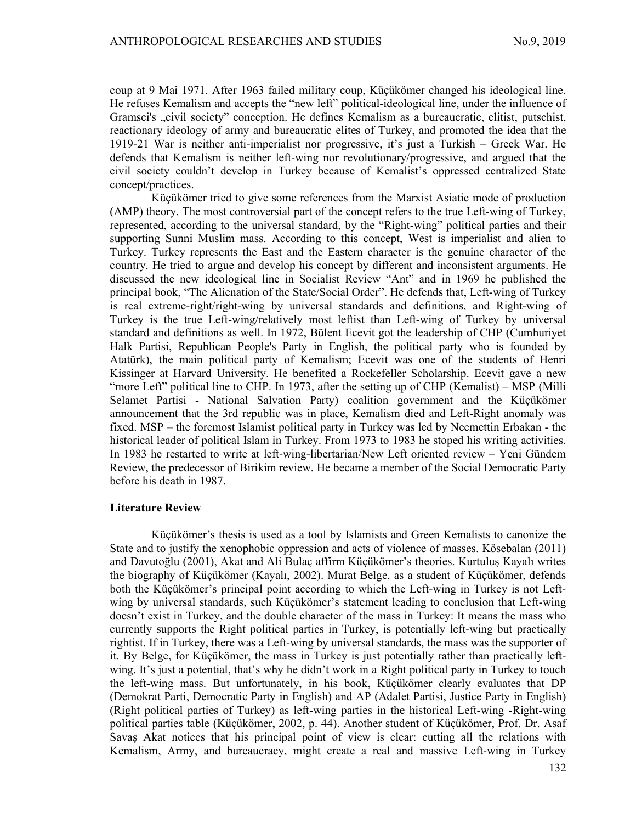coup at 9 Mai 1971. After 1963 failed military coup, Küçükömer changed his ideological line. He refuses Kemalism and accepts the "new left" political-ideological line, under the influence of Gramsci's "civil society" conception. He defines Kemalism as a bureaucratic, elitist, putschist, reactionary ideology of army and bureaucratic elites of Turkey, and promoted the idea that the 1919-21 War is neither anti-imperialist nor progressive, it's just a Turkish – Greek War. He defends that Kemalism is neither left-wing nor revolutionary/progressive, and argued that the civil society couldn't develop in Turkey because of Kemalist's oppressed centralized State concept/practices.

Küçükömer tried to give some references from the Marxist Asiatic mode of production (AMP) theory. The most controversial part of the concept refers to the true Left-wing of Turkey, represented, according to the universal standard, by the "Right-wing" political parties and their supporting Sunni Muslim mass. According to this concept, West is imperialist and alien to Turkey. Turkey represents the East and the Eastern character is the genuine character of the country. He tried to argue and develop his concept by different and inconsistent arguments. He discussed the new ideological line in Socialist Review "Ant" and in 1969 he published the principal book, "The Alienation of the State/Social Order". He defends that, Left-wing of Turkey is real extreme-right/right-wing by universal standards and definitions, and Right-wing of Turkey is the true Left-wing/relatively most leftist than Left-wing of Turkey by universal standard and definitions as well. In 1972, Bülent Ecevit got the leadership of CHP (Cumhuriyet Halk Partisi, Republican People's Party in English, the political party who is founded by Atatürk), the main political party of Kemalism; Ecevit was one of the students of Henri Kissinger at Harvard University. He benefited a Rockefeller Scholarship. Ecevit gave a new "more Left" political line to CHP. In 1973, after the setting up of CHP (Kemalist) – MSP (Milli Selamet Partisi - National Salvation Party) coalition government and the Küçükömer announcement that the 3rd republic was in place, Kemalism died and Left-Right anomaly was fixed. MSP – the foremost Islamist political party in Turkey was led by Necmettin Erbakan - the historical leader of political Islam in Turkey. From 1973 to 1983 he stoped his writing activities. In 1983 he restarted to write at left-wing-libertarian/New Left oriented review – Yeni Gündem Review, the predecessor of Birikim review. He became a member of the Social Democratic Party before his death in 1987.

#### Literature Review

Küçükömer's thesis is used as a tool by Islamists and Green Kemalists to canonize the State and to justify the xenophobic oppression and acts of violence of masses. Kösebalan (2011) and Davutoğlu (2001), Akat and Ali Bulaç affirm Küçükömer's theories. Kurtuluş Kayalı writes the biography of Küçükömer (Kayalı, 2002). Murat Belge, as a student of Küçükömer, defends both the Küçükömer's principal point according to which the Left-wing in Turkey is not Leftwing by universal standards, such Küçükömer's statement leading to conclusion that Left-wing doesn't exist in Turkey, and the double character of the mass in Turkey: It means the mass who currently supports the Right political parties in Turkey, is potentially left-wing but practically rightist. If in Turkey, there was a Left-wing by universal standards, the mass was the supporter of it. By Belge, for Küçükömer, the mass in Turkey is just potentially rather than practically leftwing. It's just a potential, that's why he didn't work in a Right political party in Turkey to touch the left-wing mass. But unfortunately, in his book, Küçükömer clearly evaluates that DP (Demokrat Parti, Democratic Party in English) and AP (Adalet Partisi, Justice Party in English) (Right political parties of Turkey) as left-wing parties in the historical Left-wing -Right-wing political parties table (Küçükömer, 2002, p. 44). Another student of Küçükömer, Prof. Dr. Asaf Savaş Akat notices that his principal point of view is clear: cutting all the relations with Kemalism, Army, and bureaucracy, might create a real and massive Left-wing in Turkey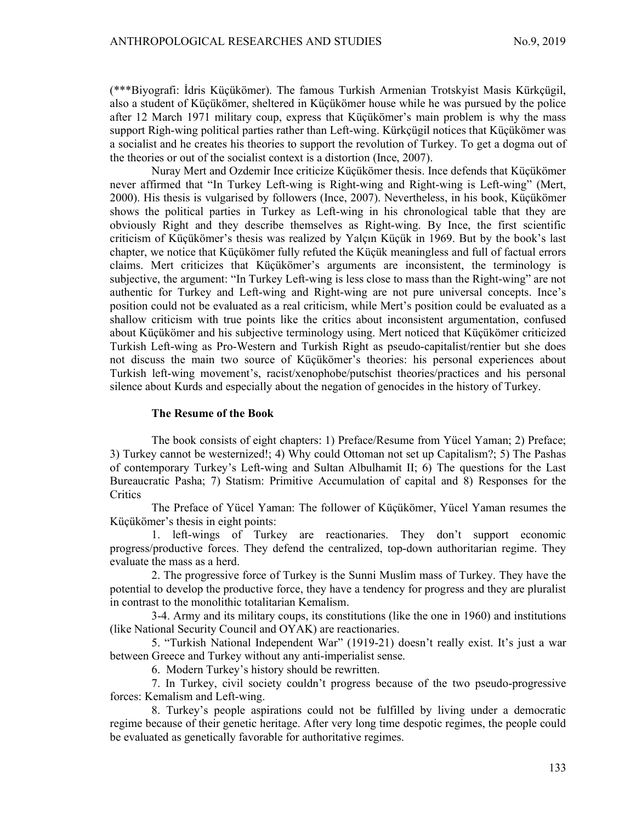(\*\*\*Biyografi: İdris Küçükömer). The famous Turkish Armenian Trotskyist Masis Kürkçügil, also a student of Küçükömer, sheltered in Küçükömer house while he was pursued by the police after 12 March 1971 military coup, express that Küçükömer's main problem is why the mass support Righ-wing political parties rather than Left-wing. Kürkçügil notices that Küçükömer was a socialist and he creates his theories to support the revolution of Turkey. To get a dogma out of the theories or out of the socialist context is a distortion (Ince, 2007).

Nuray Mert and Ozdemir Ince criticize Küçükömer thesis. Ince defends that Küçükömer never affirmed that "In Turkey Left-wing is Right-wing and Right-wing is Left-wing" (Mert, 2000). His thesis is vulgarised by followers (Ince, 2007). Nevertheless, in his book, Küçükömer shows the political parties in Turkey as Left-wing in his chronological table that they are obviously Right and they describe themselves as Right-wing. By Ince, the first scientific criticism of Küçükömer's thesis was realized by Yalçın Küçük in 1969. But by the book's last chapter, we notice that Küçükömer fully refuted the Küçük meaningless and full of factual errors claims. Mert criticizes that Küçükömer's arguments are inconsistent, the terminology is subjective, the argument: "In Turkey Left-wing is less close to mass than the Right-wing" are not authentic for Turkey and Left-wing and Right-wing are not pure universal concepts. Ince's position could not be evaluated as a real criticism, while Mert's position could be evaluated as a shallow criticism with true points like the critics about inconsistent argumentation, confused about Küçükömer and his subjective terminology using. Mert noticed that Küçükömer criticized Turkish Left-wing as Pro-Western and Turkish Right as pseudo-capitalist/rentier but she does not discuss the main two source of Küçükömer's theories: his personal experiences about Turkish left-wing movement's, racist/xenophobe/putschist theories/practices and his personal silence about Kurds and especially about the negation of genocides in the history of Turkey.

## The Resume of the Book

The book consists of eight chapters: 1) Preface/Resume from Yücel Yaman; 2) Preface; 3) Turkey cannot be westernized!; 4) Why could Ottoman not set up Capitalism?; 5) The Pashas of contemporary Turkey's Left-wing and Sultan Albulhamit II; 6) The questions for the Last Bureaucratic Pasha; 7) Statism: Primitive Accumulation of capital and 8) Responses for the **Critics** 

The Preface of Yücel Yaman: The follower of Küçükömer, Yücel Yaman resumes the Küçükömer's thesis in eight points:

1. left-wings of Turkey are reactionaries. They don't support economic progress/productive forces. They defend the centralized, top-down authoritarian regime. They evaluate the mass as a herd.

2. The progressive force of Turkey is the Sunni Muslim mass of Turkey. They have the potential to develop the productive force, they have a tendency for progress and they are pluralist in contrast to the monolithic totalitarian Kemalism.

3-4. Army and its military coups, its constitutions (like the one in 1960) and institutions (like National Security Council and OYAK) are reactionaries.

5. "Turkish National Independent War" (1919-21) doesn't really exist. It's just a war between Greece and Turkey without any anti-imperialist sense.

6. Modern Turkey's history should be rewritten.

7. In Turkey, civil society couldn't progress because of the two pseudo-progressive forces: Kemalism and Left-wing.

8. Turkey's people aspirations could not be fulfilled by living under a democratic regime because of their genetic heritage. After very long time despotic regimes, the people could be evaluated as genetically favorable for authoritative regimes.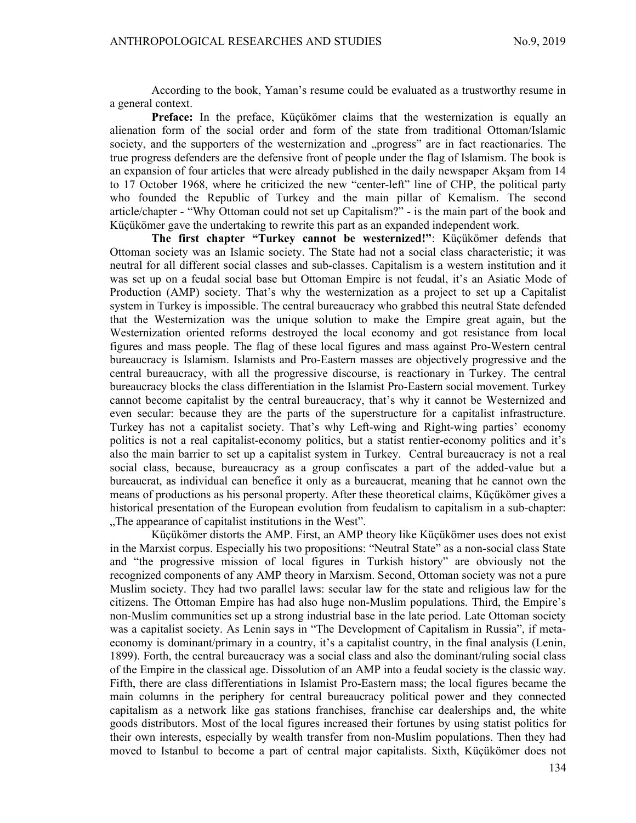According to the book, Yaman's resume could be evaluated as a trustworthy resume in a general context.

Preface: In the preface, Küçükömer claims that the westernization is equally an alienation form of the social order and form of the state from traditional Ottoman/Islamic society, and the supporters of the westernization and "progress" are in fact reactionaries. The true progress defenders are the defensive front of people under the flag of Islamism. The book is an expansion of four articles that were already published in the daily newspaper Akşam from 14 to 17 October 1968, where he criticized the new "center-left" line of CHP, the political party who founded the Republic of Turkey and the main pillar of Kemalism. The second article/chapter - "Why Ottoman could not set up Capitalism?" - is the main part of the book and Küçükömer gave the undertaking to rewrite this part as an expanded independent work.

The first chapter "Turkey cannot be westernized!": Küçükömer defends that Ottoman society was an Islamic society. The State had not a social class characteristic; it was neutral for all different social classes and sub-classes. Capitalism is a western institution and it was set up on a feudal social base but Ottoman Empire is not feudal, it's an Asiatic Mode of Production (AMP) society. That's why the westernization as a project to set up a Capitalist system in Turkey is impossible. The central bureaucracy who grabbed this neutral State defended that the Westernization was the unique solution to make the Empire great again, but the Westernization oriented reforms destroyed the local economy and got resistance from local figures and mass people. The flag of these local figures and mass against Pro-Western central bureaucracy is Islamism. Islamists and Pro-Eastern masses are objectively progressive and the central bureaucracy, with all the progressive discourse, is reactionary in Turkey. The central bureaucracy blocks the class differentiation in the Islamist Pro-Eastern social movement. Turkey cannot become capitalist by the central bureaucracy, that's why it cannot be Westernized and even secular: because they are the parts of the superstructure for a capitalist infrastructure. Turkey has not a capitalist society. That's why Left-wing and Right-wing parties' economy politics is not a real capitalist-economy politics, but a statist rentier-economy politics and it's also the main barrier to set up a capitalist system in Turkey. Central bureaucracy is not a real social class, because, bureaucracy as a group confiscates a part of the added-value but a bureaucrat, as individual can benefice it only as a bureaucrat, meaning that he cannot own the means of productions as his personal property. After these theoretical claims, Küçükömer gives a historical presentation of the European evolution from feudalism to capitalism in a sub-chapter: "The appearance of capitalist institutions in the West".

Küçükömer distorts the AMP. First, an AMP theory like Küçükömer uses does not exist in the Marxist corpus. Especially his two propositions: "Neutral State" as a non-social class State and "the progressive mission of local figures in Turkish history" are obviously not the recognized components of any AMP theory in Marxism. Second, Ottoman society was not a pure Muslim society. They had two parallel laws: secular law for the state and religious law for the citizens. The Ottoman Empire has had also huge non-Muslim populations. Third, the Empire's non-Muslim communities set up a strong industrial base in the late period. Late Ottoman society was a capitalist society. As Lenin says in "The Development of Capitalism in Russia", if metaeconomy is dominant/primary in a country, it's a capitalist country, in the final analysis (Lenin, 1899). Forth, the central bureaucracy was a social class and also the dominant/ruling social class of the Empire in the classical age. Dissolution of an AMP into a feudal society is the classic way. Fifth, there are class differentiations in Islamist Pro-Eastern mass; the local figures became the main columns in the periphery for central bureaucracy political power and they connected capitalism as a network like gas stations franchises, franchise car dealerships and, the white goods distributors. Most of the local figures increased their fortunes by using statist politics for their own interests, especially by wealth transfer from non-Muslim populations. Then they had moved to Istanbul to become a part of central major capitalists. Sixth, Küçükömer does not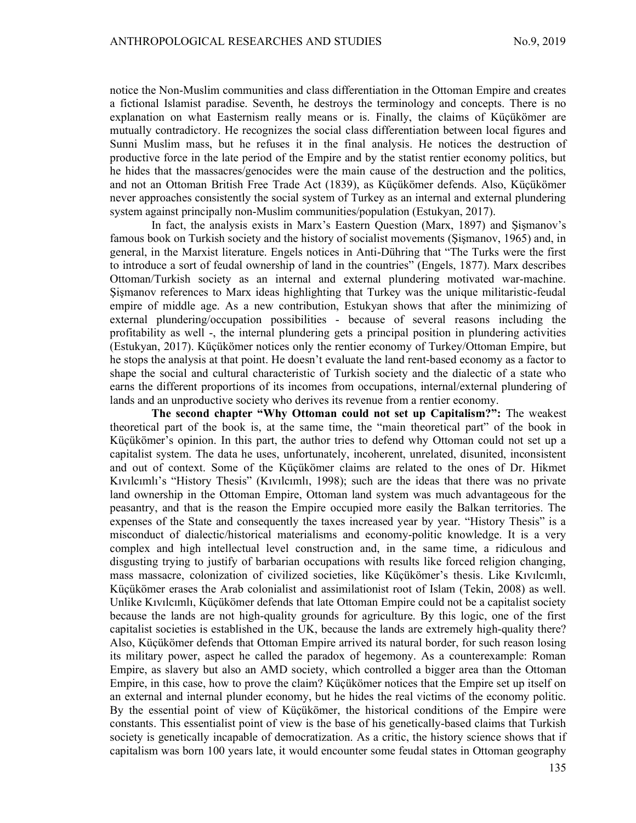notice the Non-Muslim communities and class differentiation in the Ottoman Empire and creates a fictional Islamist paradise. Seventh, he destroys the terminology and concepts. There is no explanation on what Easternism really means or is. Finally, the claims of Küçükömer are mutually contradictory. He recognizes the social class differentiation between local figures and Sunni Muslim mass, but he refuses it in the final analysis. He notices the destruction of productive force in the late period of the Empire and by the statist rentier economy politics, but he hides that the massacres/genocides were the main cause of the destruction and the politics, and not an Ottoman British Free Trade Act (1839), as Küçükömer defends. Also, Küçükömer never approaches consistently the social system of Turkey as an internal and external plundering system against principally non-Muslim communities/population (Estukyan, 2017).

In fact, the analysis exists in Marx's Eastern Question (Marx, 1897) and Şişmanov's famous book on Turkish society and the history of socialist movements (Şişmanov, 1965) and, in general, in the Marxist literature. Engels notices in Anti-Dühring that "The Turks were the first to introduce a sort of feudal ownership of land in the countries" (Engels, 1877). Marx describes Ottoman/Turkish society as an internal and external plundering motivated war-machine. Şişmanov references to Marx ideas highlighting that Turkey was the unique militaristic-feudal empire of middle age. As a new contribution, Estukyan shows that after the minimizing of external plundering/occupation possibilities - because of several reasons including the profitability as well -, the internal plundering gets a principal position in plundering activities (Estukyan, 2017). Küçükömer notices only the rentier economy of Turkey/Ottoman Empire, but he stops the analysis at that point. He doesn't evaluate the land rent-based economy as a factor to shape the social and cultural characteristic of Turkish society and the dialectic of a state who earns the different proportions of its incomes from occupations, internal/external plundering of lands and an unproductive society who derives its revenue from a rentier economy.

The second chapter "Why Ottoman could not set up Capitalism?": The weakest theoretical part of the book is, at the same time, the "main theoretical part" of the book in Küçükömer's opinion. In this part, the author tries to defend why Ottoman could not set up a capitalist system. The data he uses, unfortunately, incoherent, unrelated, disunited, inconsistent and out of context. Some of the Küçükömer claims are related to the ones of Dr. Hikmet Kıvılcımlı's "History Thesis" (Kıvılcımlı, 1998); such are the ideas that there was no private land ownership in the Ottoman Empire, Ottoman land system was much advantageous for the peasantry, and that is the reason the Empire occupied more easily the Balkan territories. The expenses of the State and consequently the taxes increased year by year. "History Thesis" is a misconduct of dialectic/historical materialisms and economy-politic knowledge. It is a very complex and high intellectual level construction and, in the same time, a ridiculous and disgusting trying to justify of barbarian occupations with results like forced religion changing, mass massacre, colonization of civilized societies, like Küçükömer's thesis. Like Kıvılcımlı, Küçükömer erases the Arab colonialist and assimilationist root of Islam (Tekin, 2008) as well. Unlike Kıvılcımlı, Küçükömer defends that late Ottoman Empire could not be a capitalist society because the lands are not high-quality grounds for agriculture. By this logic, one of the first capitalist societies is established in the UK, because the lands are extremely high-quality there? Also, Küçükömer defends that Ottoman Empire arrived its natural border, for such reason losing its military power, aspect he called the paradox of hegemony. As a counterexample: Roman Empire, as slavery but also an AMD society, which controlled a bigger area than the Ottoman Empire, in this case, how to prove the claim? Küçükömer notices that the Empire set up itself on an external and internal plunder economy, but he hides the real victims of the economy politic. By the essential point of view of Küçükömer, the historical conditions of the Empire were constants. This essentialist point of view is the base of his genetically-based claims that Turkish society is genetically incapable of democratization. As a critic, the history science shows that if capitalism was born 100 years late, it would encounter some feudal states in Ottoman geography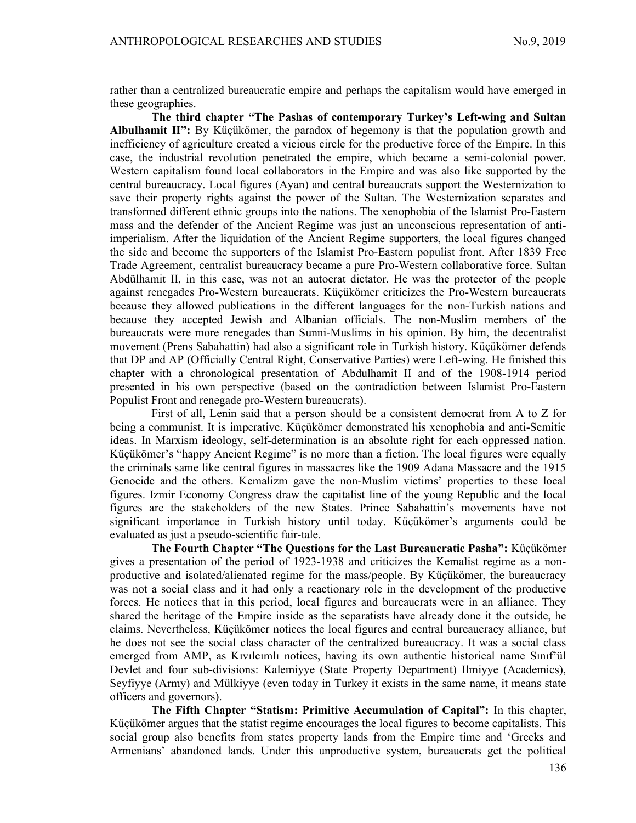rather than a centralized bureaucratic empire and perhaps the capitalism would have emerged in these geographies.

The third chapter "The Pashas of contemporary Turkey's Left-wing and Sultan Albulhamit  $II$ ": By Küçükömer, the paradox of hegemony is that the population growth and inefficiency of agriculture created a vicious circle for the productive force of the Empire. In this case, the industrial revolution penetrated the empire, which became a semi-colonial power. Western capitalism found local collaborators in the Empire and was also like supported by the central bureaucracy. Local figures (Ayan) and central bureaucrats support the Westernization to save their property rights against the power of the Sultan. The Westernization separates and transformed different ethnic groups into the nations. The xenophobia of the Islamist Pro-Eastern mass and the defender of the Ancient Regime was just an unconscious representation of antiimperialism. After the liquidation of the Ancient Regime supporters, the local figures changed the side and become the supporters of the Islamist Pro-Eastern populist front. After 1839 Free Trade Agreement, centralist bureaucracy became a pure Pro-Western collaborative force. Sultan Abdülhamit II, in this case, was not an autocrat dictator. He was the protector of the people against renegades Pro-Western bureaucrats. Küçükömer criticizes the Pro-Western bureaucrats because they allowed publications in the different languages for the non-Turkish nations and because they accepted Jewish and Albanian officials. The non-Muslim members of the bureaucrats were more renegades than Sunni-Muslims in his opinion. By him, the decentralist movement (Prens Sabahattin) had also a significant role in Turkish history. Küçükömer defends that DP and AP (Officially Central Right, Conservative Parties) were Left-wing. He finished this chapter with a chronological presentation of Abdulhamit II and of the 1908-1914 period presented in his own perspective (based on the contradiction between Islamist Pro-Eastern Populist Front and renegade pro-Western bureaucrats).

First of all, Lenin said that a person should be a consistent democrat from A to Z for being a communist. It is imperative. Küçükömer demonstrated his xenophobia and anti-Semitic ideas. In Marxism ideology, self-determination is an absolute right for each oppressed nation. Küçükömer's "happy Ancient Regime" is no more than a fiction. The local figures were equally the criminals same like central figures in massacres like the 1909 Adana Massacre and the 1915 Genocide and the others. Kemalizm gave the non-Muslim victims' properties to these local figures. Izmir Economy Congress draw the capitalist line of the young Republic and the local figures are the stakeholders of the new States. Prince Sabahattin's movements have not significant importance in Turkish history until today. Küçükömer's arguments could be evaluated as just a pseudo-scientific fair-tale.

The Fourth Chapter "The Questions for the Last Bureaucratic Pasha": Küçükömer gives a presentation of the period of 1923-1938 and criticizes the Kemalist regime as a nonproductive and isolated/alienated regime for the mass/people. By Küçükömer, the bureaucracy was not a social class and it had only a reactionary role in the development of the productive forces. He notices that in this period, local figures and bureaucrats were in an alliance. They shared the heritage of the Empire inside as the separatists have already done it the outside, he claims. Nevertheless, Küçükömer notices the local figures and central bureaucracy alliance, but he does not see the social class character of the centralized bureaucracy. It was a social class emerged from AMP, as Kıvılcımlı notices, having its own authentic historical name Sınıf'ül Devlet and four sub-divisions: Kalemiyye (State Property Department) Ilmiyye (Academics), Seyfiyye (Army) and Mülkiyye (even today in Turkey it exists in the same name, it means state officers and governors).

The Fifth Chapter "Statism: Primitive Accumulation of Capital": In this chapter, Küçükömer argues that the statist regime encourages the local figures to become capitalists. This social group also benefits from states property lands from the Empire time and 'Greeks and Armenians' abandoned lands. Under this unproductive system, bureaucrats get the political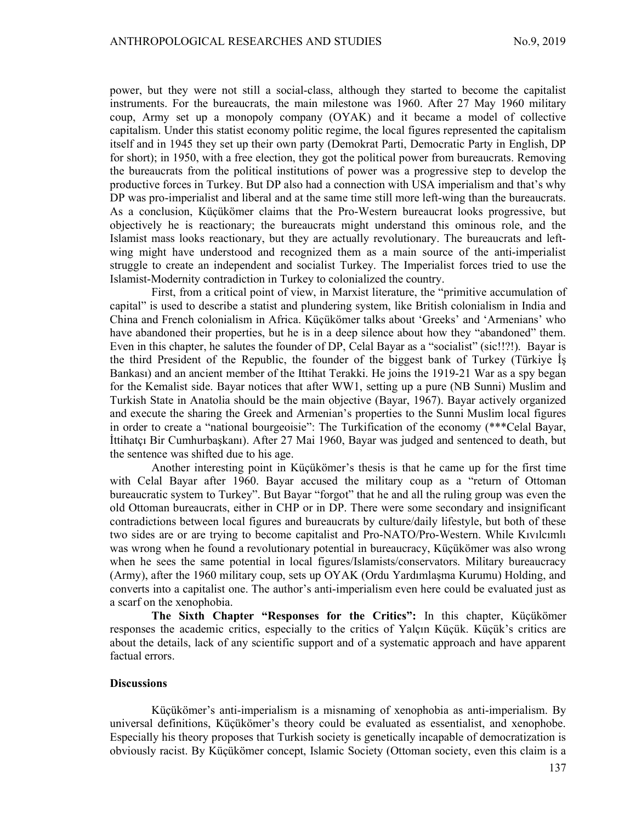power, but they were not still a social-class, although they started to become the capitalist instruments. For the bureaucrats, the main milestone was 1960. After 27 May 1960 military coup, Army set up a monopoly company (OYAK) and it became a model of collective capitalism. Under this statist economy politic regime, the local figures represented the capitalism itself and in 1945 they set up their own party (Demokrat Parti, Democratic Party in English, DP for short); in 1950, with a free election, they got the political power from bureaucrats. Removing the bureaucrats from the political institutions of power was a progressive step to develop the productive forces in Turkey. But DP also had a connection with USA imperialism and that's why DP was pro-imperialist and liberal and at the same time still more left-wing than the bureaucrats. As a conclusion, Küçükömer claims that the Pro-Western bureaucrat looks progressive, but objectively he is reactionary; the bureaucrats might understand this ominous role, and the Islamist mass looks reactionary, but they are actually revolutionary. The bureaucrats and leftwing might have understood and recognized them as a main source of the anti-imperialist struggle to create an independent and socialist Turkey. The Imperialist forces tried to use the Islamist-Modernity contradiction in Turkey to colonialized the country.

First, from a critical point of view, in Marxist literature, the "primitive accumulation of capital" is used to describe a statist and plundering system, like British colonialism in India and China and French colonialism in Africa. Küçükömer talks about 'Greeks' and 'Armenians' who have abandoned their properties, but he is in a deep silence about how they "abandoned" them. Even in this chapter, he salutes the founder of DP, Celal Bayar as a "socialist" (sic!!?!). Bayar is the third President of the Republic, the founder of the biggest bank of Turkey (Türkiye İş Bankası) and an ancient member of the Ittihat Terakki. He joins the 1919-21 War as a spy began for the Kemalist side. Bayar notices that after WW1, setting up a pure (NB Sunni) Muslim and Turkish State in Anatolia should be the main objective (Bayar, 1967). Bayar actively organized and execute the sharing the Greek and Armenian's properties to the Sunni Muslim local figures in order to create a "national bourgeoisie": The Turkification of the economy (\*\*\*Celal Bayar, İttihatçı Bir Cumhurbaşkanı). After 27 Mai 1960, Bayar was judged and sentenced to death, but the sentence was shifted due to his age.

Another interesting point in Küçükömer's thesis is that he came up for the first time with Celal Bayar after 1960. Bayar accused the military coup as a "return of Ottoman bureaucratic system to Turkey". But Bayar "forgot" that he and all the ruling group was even the old Ottoman bureaucrats, either in CHP or in DP. There were some secondary and insignificant contradictions between local figures and bureaucrats by culture/daily lifestyle, but both of these two sides are or are trying to become capitalist and Pro-NATO/Pro-Western. While Kıvılcımlı was wrong when he found a revolutionary potential in bureaucracy, Küçükömer was also wrong when he sees the same potential in local figures/Islamists/conservators. Military bureaucracy (Army), after the 1960 military coup, sets up OYAK (Ordu Yardımlaşma Kurumu) Holding, and converts into a capitalist one. The author's anti-imperialism even here could be evaluated just as a scarf on the xenophobia.

The Sixth Chapter "Responses for the Critics": In this chapter, Küçükömer responses the academic critics, especially to the critics of Yalçın Küçük. Küçük's critics are about the details, lack of any scientific support and of a systematic approach and have apparent factual errors.

### **Discussions**

Küçükömer's anti-imperialism is a misnaming of xenophobia as anti-imperialism. By universal definitions, Küçükömer's theory could be evaluated as essentialist, and xenophobe. Especially his theory proposes that Turkish society is genetically incapable of democratization is obviously racist. By Küçükömer concept, Islamic Society (Ottoman society, even this claim is a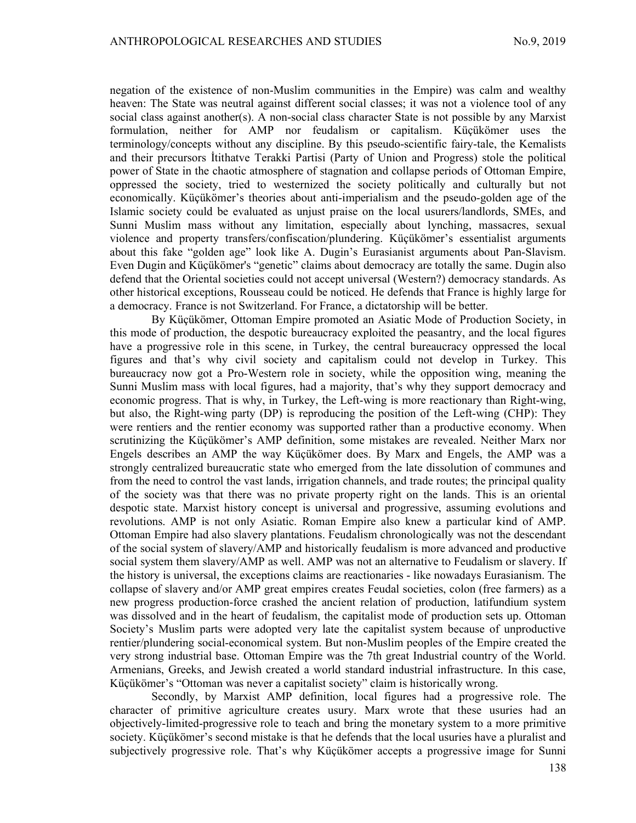negation of the existence of non-Muslim communities in the Empire) was calm and wealthy heaven: The State was neutral against different social classes; it was not a violence tool of any social class against another(s). A non-social class character State is not possible by any Marxist formulation, neither for AMP nor feudalism or capitalism. Küçükömer uses the terminology/concepts without any discipline. By this pseudo-scientific fairy-tale, the Kemalists and their precursors İtithatve Terakki Partisi (Party of Union and Progress) stole the political power of State in the chaotic atmosphere of stagnation and collapse periods of Ottoman Empire, oppressed the society, tried to westernized the society politically and culturally but not economically. Küçükömer's theories about anti-imperialism and the pseudo-golden age of the Islamic society could be evaluated as unjust praise on the local usurers/landlords, SMEs, and Sunni Muslim mass without any limitation, especially about lynching, massacres, sexual violence and property transfers/confiscation/plundering. Küçükömer's essentialist arguments about this fake "golden age" look like A. Dugin's Eurasianist arguments about Pan-Slavism. Even Dugin and Küçükömer's "genetic" claims about democracy are totally the same. Dugin also defend that the Oriental societies could not accept universal (Western?) democracy standards. As other historical exceptions, Rousseau could be noticed. He defends that France is highly large for a democracy. France is not Switzerland. For France, a dictatorship will be better.

By Küçükömer, Ottoman Empire promoted an Asiatic Mode of Production Society, in this mode of production, the despotic bureaucracy exploited the peasantry, and the local figures have a progressive role in this scene, in Turkey, the central bureaucracy oppressed the local figures and that's why civil society and capitalism could not develop in Turkey. This bureaucracy now got a Pro-Western role in society, while the opposition wing, meaning the Sunni Muslim mass with local figures, had a majority, that's why they support democracy and economic progress. That is why, in Turkey, the Left-wing is more reactionary than Right-wing, but also, the Right-wing party (DP) is reproducing the position of the Left-wing (CHP): They were rentiers and the rentier economy was supported rather than a productive economy. When scrutinizing the Küçükömer's AMP definition, some mistakes are revealed. Neither Marx nor Engels describes an AMP the way Küçükömer does. By Marx and Engels, the AMP was a strongly centralized bureaucratic state who emerged from the late dissolution of communes and from the need to control the vast lands, irrigation channels, and trade routes; the principal quality of the society was that there was no private property right on the lands. This is an oriental despotic state. Marxist history concept is universal and progressive, assuming evolutions and revolutions. AMP is not only Asiatic. Roman Empire also knew a particular kind of AMP. Ottoman Empire had also slavery plantations. Feudalism chronologically was not the descendant of the social system of slavery/AMP and historically feudalism is more advanced and productive social system them slavery/AMP as well. AMP was not an alternative to Feudalism or slavery. If the history is universal, the exceptions claims are reactionaries - like nowadays Eurasianism. The collapse of slavery and/or AMP great empires creates Feudal societies, colon (free farmers) as a new progress production-force crashed the ancient relation of production, latifundium system was dissolved and in the heart of feudalism, the capitalist mode of production sets up. Ottoman Society's Muslim parts were adopted very late the capitalist system because of unproductive rentier/plundering social-economical system. But non-Muslim peoples of the Empire created the very strong industrial base. Ottoman Empire was the 7th great Industrial country of the World. Armenians, Greeks, and Jewish created a world standard industrial infrastructure. In this case, Küçükömer's "Ottoman was never a capitalist society" claim is historically wrong.

Secondly, by Marxist AMP definition, local figures had a progressive role. The character of primitive agriculture creates usury. Marx wrote that these usuries had an objectively-limited-progressive role to teach and bring the monetary system to a more primitive society. Küçükömer's second mistake is that he defends that the local usuries have a pluralist and subjectively progressive role. That's why Küçükömer accepts a progressive image for Sunni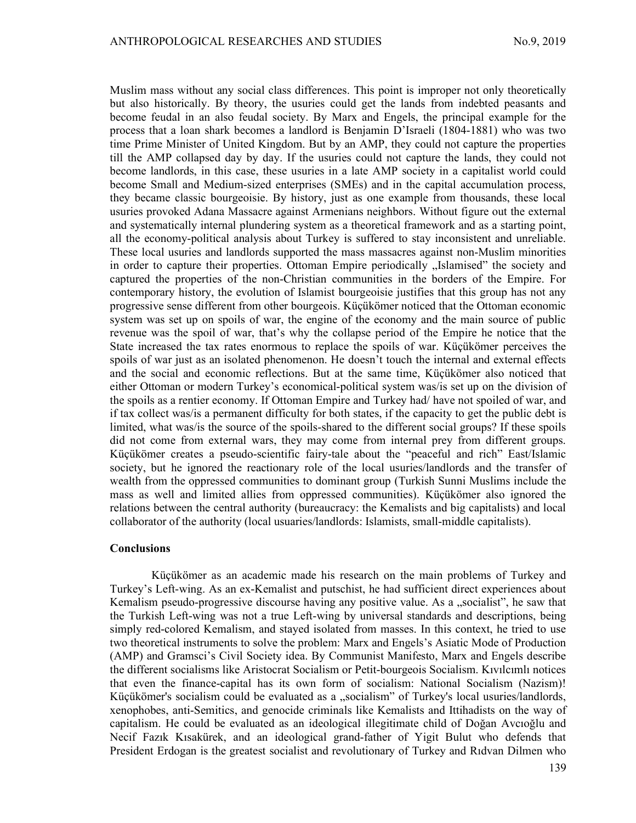Muslim mass without any social class differences. This point is improper not only theoretically but also historically. By theory, the usuries could get the lands from indebted peasants and become feudal in an also feudal society. By Marx and Engels, the principal example for the process that a loan shark becomes a landlord is Benjamin D'Israeli (1804-1881) who was two time Prime Minister of United Kingdom. But by an AMP, they could not capture the properties till the AMP collapsed day by day. If the usuries could not capture the lands, they could not become landlords, in this case, these usuries in a late AMP society in a capitalist world could become Small and Medium-sized enterprises (SMEs) and in the capital accumulation process, they became classic bourgeoisie. By history, just as one example from thousands, these local usuries provoked Adana Massacre against Armenians neighbors. Without figure out the external and systematically internal plundering system as a theoretical framework and as a starting point, all the economy-political analysis about Turkey is suffered to stay inconsistent and unreliable. These local usuries and landlords supported the mass massacres against non-Muslim minorities in order to capture their properties. Ottoman Empire periodically "Islamised" the society and captured the properties of the non-Christian communities in the borders of the Empire. For contemporary history, the evolution of Islamist bourgeoisie justifies that this group has not any progressive sense different from other bourgeois. Küçükömer noticed that the Ottoman economic system was set up on spoils of war, the engine of the economy and the main source of public revenue was the spoil of war, that's why the collapse period of the Empire he notice that the State increased the tax rates enormous to replace the spoils of war. Küçükömer perceives the spoils of war just as an isolated phenomenon. He doesn't touch the internal and external effects and the social and economic reflections. But at the same time, Küçükömer also noticed that either Ottoman or modern Turkey's economical-political system was/is set up on the division of the spoils as a rentier economy. If Ottoman Empire and Turkey had/ have not spoiled of war, and if tax collect was/is a permanent difficulty for both states, if the capacity to get the public debt is limited, what was/is the source of the spoils-shared to the different social groups? If these spoils did not come from external wars, they may come from internal prey from different groups. Küçükömer creates a pseudo-scientific fairy-tale about the "peaceful and rich" East/Islamic society, but he ignored the reactionary role of the local usuries/landlords and the transfer of wealth from the oppressed communities to dominant group (Turkish Sunni Muslims include the mass as well and limited allies from oppressed communities). Küçükömer also ignored the relations between the central authority (bureaucracy: the Kemalists and big capitalists) and local collaborator of the authority (local usuaries/landlords: Islamists, small-middle capitalists).

### **Conclusions**

Küçükömer as an academic made his research on the main problems of Turkey and Turkey's Left-wing. As an ex-Kemalist and putschist, he had sufficient direct experiences about Kemalism pseudo-progressive discourse having any positive value. As a "socialist", he saw that the Turkish Left-wing was not a true Left-wing by universal standards and descriptions, being simply red-colored Kemalism, and stayed isolated from masses. In this context, he tried to use two theoretical instruments to solve the problem: Marx and Engels's Asiatic Mode of Production (AMP) and Gramsci's Civil Society idea. By Communist Manifesto, Marx and Engels describe the different socialisms like Aristocrat Socialism or Petit-bourgeois Socialism. Kıvılcımlı notices that even the finance-capital has its own form of socialism: National Socialism (Nazism)! Küçükömer's socialism could be evaluated as a "socialism" of Turkey's local usuries/landlords, xenophobes, anti-Semitics, and genocide criminals like Kemalists and Ittihadists on the way of capitalism. He could be evaluated as an ideological illegitimate child of Doğan Avcıoğlu and Necif Fazık Kısakürek, and an ideological grand-father of Yigit Bulut who defends that President Erdogan is the greatest socialist and revolutionary of Turkey and Rıdvan Dilmen who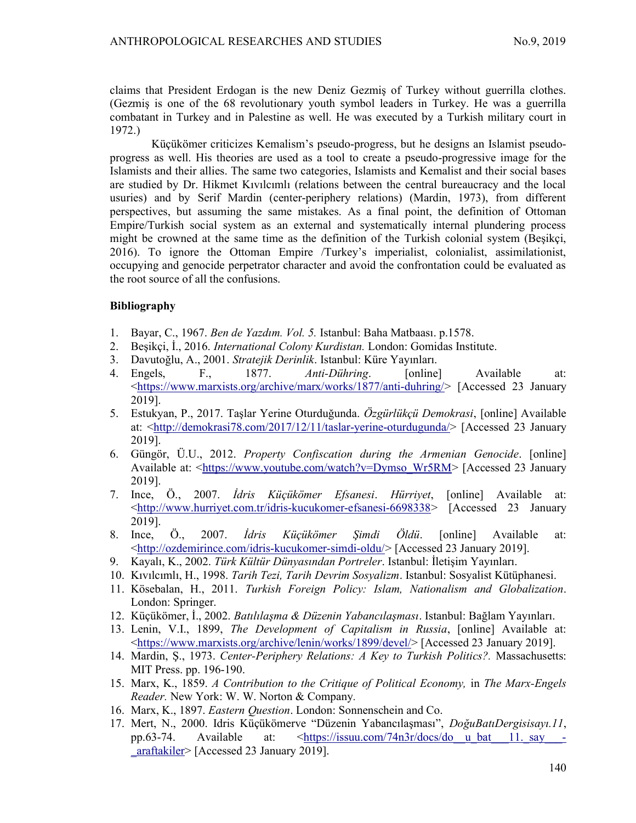claims that President Erdogan is the new Deniz Gezmiş of Turkey without guerrilla clothes. (Gezmiş is one of the 68 revolutionary youth symbol leaders in Turkey. He was a guerrilla combatant in Turkey and in Palestine as well. He was executed by a Turkish military court in 1972.)

Küçükömer criticizes Kemalism's pseudo-progress, but he designs an Islamist pseudoprogress as well. His theories are used as a tool to create a pseudo-progressive image for the Islamists and their allies. The same two categories, Islamists and Kemalist and their social bases are studied by Dr. Hikmet Kıvılcımlı (relations between the central bureaucracy and the local usuries) and by Serif Mardin (center-periphery relations) (Mardin, 1973), from different perspectives, but assuming the same mistakes. As a final point, the definition of Ottoman Empire/Turkish social system as an external and systematically internal plundering process might be crowned at the same time as the definition of the Turkish colonial system (Beşikçi, 2016). To ignore the Ottoman Empire /Turkey's imperialist, colonialist, assimilationist, occupying and genocide perpetrator character and avoid the confrontation could be evaluated as the root source of all the confusions.

# Bibliography

- 1. Bayar, C., 1967. Ben de Yazdım. Vol. 5. Istanbul: Baha Matbaası. p.1578.
- 2. Beşikçi, İ., 2016. *International Colony Kurdistan*. London: Gomidas Institute.
- 3. Davutoğlu, A., 2001. Stratejik Derinlik. Istanbul: Küre Yayınları.
- 4. Engels, F., 1877. Anti-Dühring. [online] Available at: <https://www.marxists.org/archive/marx/works/1877/anti-duhring/> [Accessed 23 January 2019].
- 5. Estukyan, P., 2017. Taşlar Yerine Oturduğunda. Özgürlükçü Demokrasi, [online] Available at: <http://demokrasi78.com/2017/12/11/taslar-yerine-oturdugunda/> [Accessed 23 January 2019].
- 6. Güngör, Ü.U., 2012. Property Confiscation during the Armenian Genocide. [online] Available at: <https://www.youtube.com/watch?v=Dymso\_Wr5RM> [Accessed 23 January 2019].
- 7. Ince, Ö., 2007. İdris Küçükömer Efsanesi. Hürriyet, [online] Available at: <http://www.hurriyet.com.tr/idris-kucukomer-efsanesi-6698338> [Accessed 23 January 2019].
- 8. Ince, Ö., 2007. İdris Küçükömer Şimdi Öldü. [online] Available at: <http://ozdemirince.com/idris-kucukomer-simdi-oldu/> [Accessed 23 January 2019].
- 9. Kayalı, K., 2002. Türk Kültür Dünyasından Portreler. Istanbul: İletisim Yayınları.
- 10. Kıvılcımlı, H., 1998. Tarih Tezi, Tarih Devrim Sosyalizm. Istanbul: Sosyalist Kütüphanesi.
- 11. Kösebalan, H., 2011. Turkish Foreign Policy: Islam, Nationalism and Globalization. London: Springer.
- 12. Küçükömer, İ., 2002. Batılılaşma & Düzenin Yabancılaşması. Istanbul: Bağlam Yayınları.
- 13. Lenin, V.I., 1899, The Development of Capitalism in Russia, [online] Available at: <https://www.marxists.org/archive/lenin/works/1899/devel/> [Accessed 23 January 2019].
- 14. Mardin, Ş., 1973. Center-Periphery Relations: A Key to Turkish Politics?. Massachusetts: MIT Press. pp. 196-190.
- 15. Marx, K., 1859. A Contribution to the Critique of Political Economy, in The Marx-Engels Reader. New York: W. W. Norton & Company.
- 16. Marx, K., 1897. Eastern Question. London: Sonnenschein and Co.
- 17. Mert, N., 2000. Idris Küçükömerve "Düzenin Yabancılaşması", DoğuBatıDergisisayı.11, pp.63-74. Available at: <https://issuu.com/74n3r/docs/do\_u\_bat\_\_11.\_say\_\_-\_araftakiler> [Accessed 23 January 2019].